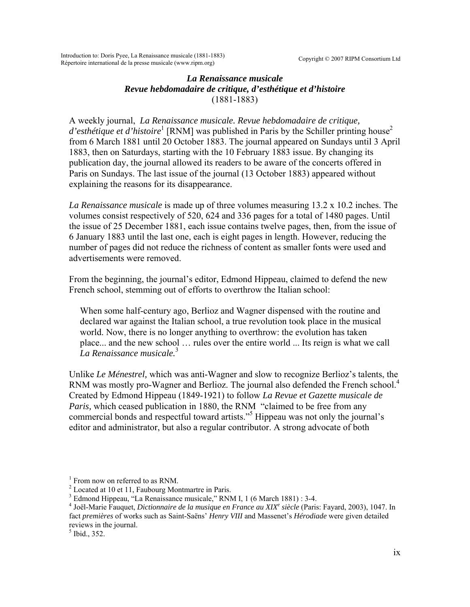Copyright © 2007 RIPM Consortium Ltd

Introduction to: Doris Pyee, La Renaissance musicale (1881-1883) Répertoire international de la presse musicale (www.ripm.org)

## *La Renaissance musicale Revue hebdomadaire de critique, d'esthétique et d'histoire*  (1881-1883)

A weekly journal, *La Renaissance musicale. Revue hebdomadaire de critique,*  d'esthétique et d'histoire<sup>1</sup> [\[](#page-0-0)RNM] was published in Paris by the Schiller printing house<sup>[2](#page-0-1)</sup> from 6 March 1881 until 20 October 1883. The journal appeared on Sundays until 3 April 1883, then on Saturdays, starting with the 10 February 1883 issue. By changing its publication day, the journal allowed its readers to be aware of the concerts offered in Paris on Sundays. The last issue of the journal (13 October 1883) appeared without explaining the reasons for its disappearance.

*La Renaissance musicale* is made up of three volumes measuring 13.2 x 10.2 inches. The volumes consist respectively of 520, 624 and 336 pages for a total of 1480 pages. Until the issue of 25 December 1881, each issue contains twelve pages, then, from the issue of 6 January 1883 until the last one, each is eight pages in length. However, reducing the number of pages did not reduce the richness of content as smaller fonts were used and advertisements were removed.

From the beginning, the journal's editor, Edmond Hippeau, claimed to defend the new French school, stemming out of efforts to overthrow the Italian school:

When some half-century ago, Berlioz and Wagner dispensed with the routine and declared war against the Italian school, a true revolution took place in the musical world. Now, there is no longer anything to overthrow: the evolution has taken place... and the new school … rules over the entire world ... Its reign is what we call *La Renaissance musicale.*[3](#page-0-2)

Unlike *Le Ménestrel,* which was anti-Wagner and slow to recognize Berlioz's talents, the RNM was mostly pro-Wagner and Berlioz. The journal also defended the French school.<sup>[4](#page-0-3)</sup> Created by Edmond Hippeau (1849-1921) to follow *La Revue et Gazette musicale de Paris, which ceased publication in 1880, the RNM "claimed to be free from any* commercial bonds and respectful toward artists."[5](#page-0-4) Hippeau was not only the journal's editor and administrator, but also a regular contributor. A strong advocate of both

<span id="page-0-4"></span> $<sup>5</sup>$  Ibid., 352.</sup>

<span id="page-0-0"></span><sup>&</sup>lt;sup>1</sup> From now on referred to as RNM.

<span id="page-0-1"></span><sup>&</sup>lt;sup>2</sup> Located at 10 et 11, Faubourg Montmartre in Paris.

<span id="page-0-2"></span><sup>&</sup>lt;sup>3</sup> Edmond Hippeau, "La Renaissance musicale," RNM I, 1 (6 March 1881) : 3-4.

<span id="page-0-3"></span>Joël-Marie Fauquet, *Dictionnaire de la musique en France au XIX<sup>e</sup> siècle* (Paris: Fayard, 2003), 1047. In fact *premières* of works such as Saint-Saëns' *Henry VIII* and Massenet's *Hérodiade* were given detailed reviews in the journal.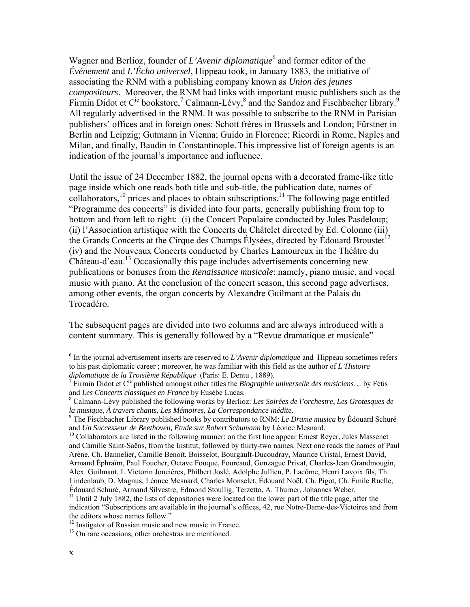Wagner and Berlioz, founder of *L'Avenir diplomatique*<sup>[6](#page-1-0)</sup> and former editor of the *Événement* and *L'Écho universel*, Hippeau took, in January 1883, the initiative of associating the RNM with a publishing company known as *Union des jeunes compositeurs*. Moreover, the RNM had links with important music publishers such as the Firmin Didot et C<sup>ie</sup> bookstore,<sup>[7](#page-1-1)</sup> Calmann-Lévy,<sup>[8](#page-1-2)</sup> and the Sandoz and Fischbacher library.<sup>[9](#page-1-3)</sup> All regularly advertised in the RNM. It was possible to subscribe to the RNM in Parisian publishers' offices and in foreign ones: Schott frères in Brussels and London; Fürstner in Berlin and Leipzig; Gutmann in Vienna; Guido in Florence; Ricordi in Rome, Naples and Milan, and finally, Baudin in Constantinople. This impressive list of foreign agents is an indication of the journal's importance and influence.

Until the issue of 24 December 1882, the journal opens with a decorated frame-like title page inside which one reads both title and sub-title, the publication date, names of collaborators,<sup>10</sup> prices and places to obtain subscriptions.<sup>11</sup> The following page entitled "Programme des concerts" is divided into four parts, generally publishing from top to bottom and from left to right: (i) the Concert Populaire conducted by Jules Pasdeloup; (ii) l'Association artistique with the Concerts du Châtelet directed by Ed. Colonne (iii) the Grands Concerts at the Cirque des Champs Élysées, directed by Édouard Broustet<sup>[12](#page-1-6)</sup> (iv) and the Nouveaux Concerts conducted by Charles Lamoureux in the Théâtre du Château-d'eau.<sup>13</sup> Occasionally this page includes advertisements concerning new publications or bonuses from the *Renaissance musicale*: namely, piano music, and vocal music with piano. At the conclusion of the concert season, this second page advertises, among other events, the organ concerts by Alexandre Guilmant at the Palais du Trocadéro.

The subsequent pages are divided into two columns and are always introduced with a content summary. This is generally followed by a "Revue dramatique et musicale"

<span id="page-1-6"></span>

<span id="page-1-7"></span>

<span id="page-1-0"></span><sup>&</sup>lt;sup>6</sup> In the journal advertisement inserts are reserved to *L'Avenir diplomatique* and Hippeau sometimes refers to his past diplomatic career ; moreover, he was familiar with this field as the author of *L'Histoire diplomatique de la Troisième République* (Paris: E. Dentu , 1889). 7

<span id="page-1-1"></span>Firmin Didot et Cie published amongst other titles the *Biographie universelle des musiciens*… by Fétis and *Les Concerts classiques en France* by Eusèbe Lucas. 8

<span id="page-1-2"></span>Calmann-Lévy published the following works by Berlioz: *Les Soirées de l'orchestre*, *Les Grotesques de la musique*, *À travers chants*, *Les Mémoires*, *La Correspondance inédite*. 9

<span id="page-1-3"></span>The Fischbacher Library published books by contributors to RNM: *Le Drame musica* by Édouard Schuré and *Un Successeur de Beethoven, Étude sur Robert Schumann* by Léonce Mesnard.<br><sup>10</sup> Collaborators are listed in the following manner: on the first line appear Ernest Reyer, Jules Massenet

<span id="page-1-4"></span>and Camille Saint-Saëns, from the Institut, followed by thirty-two names. Next one reads the names of Paul Arène, Ch. Bannelier, Camille Benoît, Boisselot, Bourgault-Ducoudray, Maurice Cristal, Ernest David, Armand Éphraïm, Paul Foucher, Octave Fouque, Fourcaud, Gonzague Privat, Charles-Jean Grandmougin, Alex. Guilmant, L Victorin Joncières, Philbert Joslé, Adolphe Jullien, P. Lacôme, Henri Lavoix fils, Th. Lindenlaub, D. Magnus, Léonce Mesnard, Charles Monselet, Édouard Noël, Ch. Pigot, Ch. Émile Ruelle, Édouard Schuré, Armand Silvestre, Edmond Stoullig, Terzetto, A. Thurner, Johannes Weber. 11 Until 2 July 1882, the lists of depositories were located on the lower part of the title page, after the

<span id="page-1-5"></span>indication "Subscriptions are available in the journal's offices, 42, rue Notre-Dame-des-Victoires and from the editors whose names follow."<br><sup>12</sup> Instigator of Russian music and new music in France.<br><sup>13</sup> On rare occasions, other orchestras are mentioned.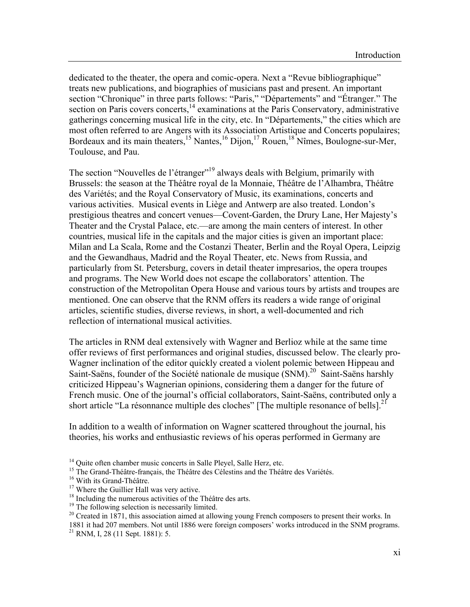dedicated to the theater, the opera and comic-opera. Next a "Revue bibliographique" treats new publications, and biographies of musicians past and present. An important section "Chronique" in three parts follows: "Paris," "Départements" and "Étranger." The section on Paris covers concerts, $14$  examinations at the Paris Conservatory, administrative gatherings concerning musical life in the city, etc. In "Départements," the cities which are most often referred to are Angers with its Association Artistique and Concerts populaires; Bordeaux and its main theaters,<sup>15</sup> Nantes,<sup>16</sup> Dijon,<sup>17</sup> Rouen,<sup>18</sup> Nîmes, Boulogne-sur-Mer, Toulouse, and Pau.

The section "Nouvelles de l'étranger"<sup>19</sup> always deals with Belgium, primarily with Brussels: the season at the Théâtre royal de la Monnaie, Théâtre de l'Alhambra, Théâtre des Variétés; and the Royal Conservatory of Music, its examinations, concerts and various activities. Musical events in Liège and Antwerp are also treated. London's prestigious theatres and concert venues—Covent-Garden, the Drury Lane, Her Majesty's Theater and the Crystal Palace, etc.—are among the main centers of interest. In other countries, musical life in the capitals and the major cities is given an important place: Milan and La Scala, Rome and the Costanzi Theater, Berlin and the Royal Opera, Leipzig and the Gewandhaus, Madrid and the Royal Theater, etc. News from Russia, and particularly from St. Petersburg, covers in detail theater impresarios, the opera troupes and programs. The New World does not escape the collaborators' attention. The construction of the Metropolitan Opera House and various tours by artists and troupes are mentioned. One can observe that the RNM offers its readers a wide range of original articles, scientific studies, diverse reviews, in short, a well-documented and rich reflection of international musical activities.

The articles in RNM deal extensively with Wagner and Berlioz while at the same time offer reviews of first performances and original studies, discussed below. The clearly pro-Wagner inclination of the editor quickly created a violent polemic between Hippeau and Saint-Saëns, founder of the Société nationale de musique  $(SNM)$ <sup>20</sup> Saint-Saëns harshly criticized Hippeau's Wagnerian opinions, considering them a danger for the future of French music. One of the journal's official collaborators, Saint-Saëns, contributed only a short article "La résonnance multiple des cloches" [The multiple resonance of bells].<sup>[21](#page-2-7)</sup>

In addition to a wealth of information on Wagner scattered throughout the journal, his theories, his works and enthusiastic reviews of his operas performed in Germany are

<span id="page-2-7"></span>1881 it had 207 members. Not until 1886 were foreign composers' works introduced in the SNM programs. 21 RNM, I, 28 (11 Sept. 1881): 5.

<span id="page-2-0"></span><sup>&</sup>lt;sup>14</sup> Quite often chamber music concerts in Salle Pleyel, Salle Herz, etc.

<span id="page-2-1"></span><sup>&</sup>lt;sup>15</sup> The Grand-Théâtre-français, the Théâtre des Célestins and the Théâtre des Variétés.<br><sup>16</sup> With its Grand-Théâtre.

<span id="page-2-2"></span>

<span id="page-2-3"></span><sup>&</sup>lt;sup>17</sup> Where the Guillier Hall was very active.

<span id="page-2-4"></span><sup>&</sup>lt;sup>18</sup> Including the numerous activities of the Théâtre des arts. <sup>19</sup> The following selection is necessarily limited.

<span id="page-2-5"></span>

<span id="page-2-6"></span> $20$  Created in 1871, this association aimed at allowing young French composers to present their works. In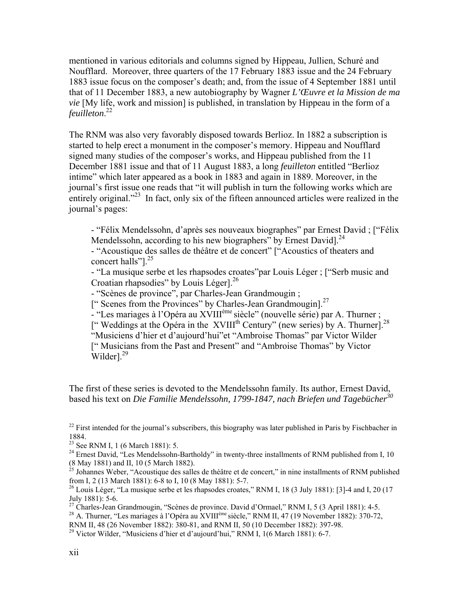mentioned in various editorials and columns signed by Hippeau, Jullien, Schuré and Noufflard. Moreover, three quarters of the 17 February 1883 issue and the 24 February 1883 issue focus on the composer's death; and, from the issue of 4 September 1881 until that of 11 December 1883, a new autobiography by Wagner *L'Œuvre et la Mission de ma vie* [My life, work and mission] is published, in translation by Hippeau in the form of a *feuilleton*. [22](#page-3-0)

The RNM was also very favorably disposed towards Berlioz. In 1882 a subscription is started to help erect a monument in the composer's memory. Hippeau and Noufflard signed many studies of the composer's works, and Hippeau published from the 11 December 1881 issue and that of 11 August 1883, a long *feuilleton* entitled "Berlioz intime" which later appeared as a book in 1883 and again in 1889. Moreover, in the journal's first issue one reads that "it will publish in turn the following works which are entirely original."<sup>23</sup> In fact, only six of the fifteen announced articles were realized in the journal's pages:

- "Félix Mendelssohn, d'après ses nouveaux biographes" par Ernest David ; ["Félix Mendelssohn, according to his new biographers" by Ernest David]. $^{24}$  $^{24}$  $^{24}$ 

- "Acoustique des salles de théâtre et de concert" ["Acoustics of theaters and concert halls"]<sup>25</sup>

- "La musique serbe et les rhapsodes croates"par Louis Léger ; ["Serb music and Croatian rhapsodies" by Louis Léger].<sup>[26](#page-3-4)</sup>

- "Scènes de province", par Charles-Jean Grandmougin ;

[" Scenes from the Provinces" by Charles-Jean Grandmougin].<sup>[27](#page-3-5)</sup>

- "Les mariages à l'Opéra au XVIII<sup>ème</sup> siècle" (nouvelle série) par A. Thurner ;

[" Weddings at the Opéra in the XVIII<sup>th</sup> Century" (new series) by A. Thurner].<sup>[28](#page-3-6)</sup> "Musiciens d'hier et d'aujourd'hui"et "Ambroise Thomas" par Victor Wilder [" Musicians from the Past and Present" and "Ambroise Thomas" by Victor  $\text{Wilder}$ <sup>29</sup>

The first of these series is devoted to the Mendelssohn family. Its author, Ernest David, based his text on *Die Familie Mendelssohn, 1799-1847, nach Briefen und Tagebücher[30](#page-3-8)*

<span id="page-3-6"></span><sup>28</sup> A. Thurner, "Les mariages à l'Opéra au XVIII<sup>ème</sup> siècle," RNM II, 47 (19 November 1882): 370-72,

<span id="page-3-0"></span> $^{22}$  First intended for the journal's subscribers, this biography was later published in Paris by Fischbacher in

<span id="page-3-2"></span><span id="page-3-1"></span>

<sup>1884.&</sup>lt;br>
<sup>23</sup> See RNM I, 1 (6 March 1881): 5.<br>
<sup>24</sup> Ernest David, "Les Mendelssohn-Bartholdy" in twenty-three installments of RNM published from I, 10<br>
(8 May 1881) and II, 10 (5 March 1882).

<span id="page-3-8"></span><span id="page-3-3"></span><sup>&</sup>lt;sup>25</sup> Johannes Weber, "Acoustique des salles de théâtre et de concert," in nine installments of RNM published from I, 2 (13 March 1881): 6-8 to I, 10 (8 May 1881): 5-7.

<span id="page-3-4"></span><sup>&</sup>lt;sup>26</sup> Louis Léger, "La musique serbe et les rhapsodes croates," RNM I, 18 (3 July 1881): [3]-4 and I, 20 (17 July 1881): 5-6.

<span id="page-3-5"></span> $27$  Charles-Jean Grandmougin, "Scènes de province. David d'Ormael," RNM I, 5 (3 April 1881): 4-5.

RNM II, 48 (26 November 1882): 380-81, and RNM II, 50 (10 December 1882): 397-98.<br><sup>29</sup> Victor Wilder, "Musiciens d'hier et d'aujourd'hui," RNM I, 1(6 March 1881): 6-7.

<span id="page-3-7"></span>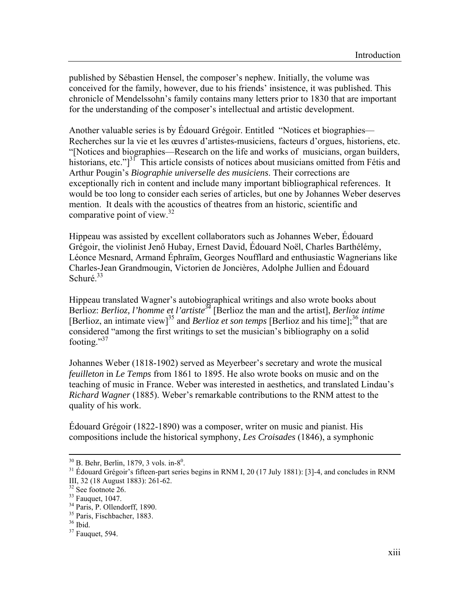published by Sébastien Hensel, the composer's nephew. Initially, the volume was conceived for the family, however, due to his friends' insistence, it was published. This chronicle of Mendelssohn's family contains many letters prior to 1830 that are important for the understanding of the composer's intellectual and artistic development.

Another valuable series is by Édouard Grégoir. Entitled "Notices et biographies— Recherches sur la vie et les œuvres d'artistes-musiciens, facteurs d'orgues, historiens, etc. "[Notices and biographies—Research on the life and works of musicians, organ builders, historians, etc." $1^{31}$  This article consists of notices about musicians omitted from Fétis and Arthur Pougin's *Biographie universelle des musiciens*. Their corrections are exceptionally rich in content and include many important bibliographical references. It would be too long to consider each series of articles, but one by Johannes Weber deserves mention. It deals with the acoustics of theatres from an historic, scientific and comparative point of view. $32$ 

Hippeau was assisted by excellent collaborators such as Johannes Weber, Édouard Grégoir, the violinist Jenő Hubay, Ernest David, Édouard Noël, Charles Barthélémy, Léonce Mesnard, Armand Éphraïm, Georges Noufflard and enthusiastic Wagnerians like Charles-Jean Grandmougin, Victorien de Joncières, Adolphe Jullien and Édouard Schuré.<sup>33</sup>

Hippeau translated Wagner's autobiographical writings and also wrote books about Berlioz: *Berlioz, l'homme et l'artiste[34](#page-4-3)* [Berlioz the man and the artist], *Berlioz intime* [Berlioz, an intimate view]<sup>35</sup> and *Berlioz et son temps* [Berlioz and his time];<sup>[36](#page-4-5)</sup> that are considered "among the first writings to set the musician's bibliography on a solid footing." $37$ 

Johannes Weber (1818-1902) served as Meyerbeer's secretary and wrote the musical *feuilleton* in *Le Temps* from 1861 to 1895. He also wrote books on music and on the teaching of music in France. Weber was interested in aesthetics, and translated Lindau's *Richard Wagner* (1885). Weber's remarkable contributions to the RNM attest to the quality of his work.

Édouard Grégoir (1822-1890) was a composer, writer on music and pianist. His compositions include the historical symphony, *Les Croisades* (1846), a symphonic

1

 $30$  B. Behr, Berlin, 1879, 3 vols. in- $8^0$ .

<span id="page-4-0"></span><sup>&</sup>lt;sup>31</sup> Édouard Grégoir's fifteen-part series begins in RNM I, 20 (17 July 1881): [3]-4, and concludes in RNM III, 32 (18 August 1883): 261-62.

<span id="page-4-1"></span><sup>32</sup> See footnote 26.

<span id="page-4-2"></span> $33$  Fauquet, 1047.

<span id="page-4-3"></span><sup>34</sup> Paris, P. Ollendorff, 1890.

<span id="page-4-4"></span><sup>35</sup> Paris, Fischbacher, 1883.

<span id="page-4-5"></span><sup>36</sup> Ibid.

<span id="page-4-6"></span><sup>37</sup> Fauquet, 594.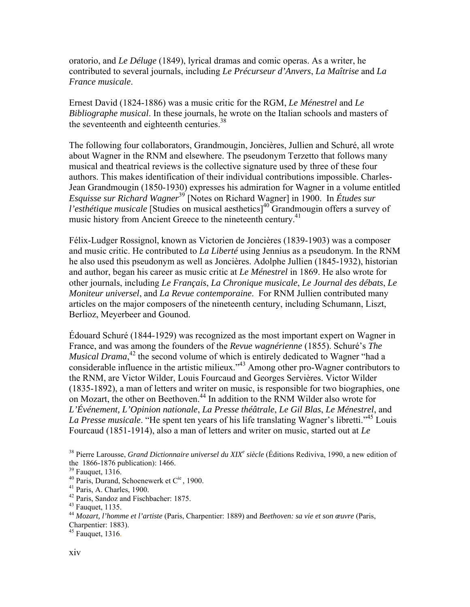oratorio, and *Le Déluge* (1849), lyrical dramas and comic operas. As a writer, he contributed to several journals, including *Le Précurseur d'Anvers*, *La Maîtrise* and *La France musicale*.

Ernest David (1824-1886) was a music critic for the RGM, *Le Ménestrel* and *Le Bibliographe musical*. In these journals, he wrote on the Italian schools and masters of the seventeenth and eighteenth centuries.<sup>38</sup>

The following four collaborators, Grandmougin, Joncières, Jullien and Schuré, all wrote about Wagner in the RNM and elsewhere. The pseudonym Terzetto that follows many musical and theatrical reviews is the collective signature used by three of these four authors. This makes identification of their individual contributions impossible. Charles-Jean Grandmougin (1850-1930) expresses his admiration for Wagner in a volume entitled *Esquisse sur Richard Wagner*[39](#page-5-1) [Notes on Richard Wagner] in 1900. In *Études sur l'esthétique musicale* [Studies on musical aesthetics]<sup>40</sup> Grandmougin offers a survey of music history from Ancient Greece to the nineteenth century.<sup>41</sup>

Félix-Ludger Rossignol, known as Victorien de Joncières (1839-1903) was a composer and music critic. He contributed to *La Liberté* using Jennius as a pseudonym. In the RNM he also used this pseudonym as well as Joncières. Adolphe Jullien (1845-1932), historian and author, began his career as music critic at *Le Ménestrel* in 1869. He also wrote for other journals, including *Le Français*, *La Chronique musicale*, *Le Journal des débats*, *Le Moniteur universel*, and *La Revue contemporaine*. For RNM Jullien contributed many articles on the major composers of the nineteenth century, including Schumann, Liszt, Berlioz, Meyerbeer and Gounod.

Édouard Schuré (1844-1929) was recognized as the most important expert on Wagner in France, and was among the founders of the *Revue wagnérienne* (1855). Schuré's *The Musical Drama*<sup>42</sup> the second volume of which is entirely dedicated to Wagner "had a considerable influence in the artistic milieux.["43](#page-5-5) Among other pro-Wagner contributors to the RNM, are Victor Wilder, Louis Fourcaud and Georges Servières. Victor Wilder (1835-1892), a man of letters and writer on music, is responsible for two biographies, one on Mozart, the other on Beethoven[.44](#page-5-6) In addition to the RNM Wilder also wrote for *L'Événement, L'Opinion nationale*, *La Presse théâtrale*, *Le Gil Blas*, *Le Ménestrel*, and *La Presse musicale*. "He spent ten years of his life translating Wagner's libretti."[45 L](#page-5-7)ouis Fourcaud (1851-1914), also a man of letters and writer on music, started out at *Le* 

<span id="page-5-4"></span>

Charpentier: 1883). 45 Fauquet, 1316.

<span id="page-5-7"></span>

<span id="page-5-0"></span><sup>&</sup>lt;sup>38</sup> Pierre Larousse, *Grand Dictionnaire universel du XIX<sup>e</sup> siècle* (Éditions Rediviva, 1990, a new edition of the 1866-1876 publication): 1466.<br><sup>39</sup> Fauquet, 1316.<br><sup>40</sup> Paris, Durand, Schoenewerk et C<sup>ie</sup>, 1900.<br><sup>41</sup> Paris, A. Charles, 1900.<br><sup>42</sup> Paris, Sandoz and Fischbacher: 1875.<br><sup>43</sup> Fauquet, 1135.<br><sup>44</sup> Mozart, l'homme et l'a

<span id="page-5-1"></span>

<span id="page-5-2"></span>

<span id="page-5-3"></span>

<span id="page-5-5"></span>

<span id="page-5-6"></span>